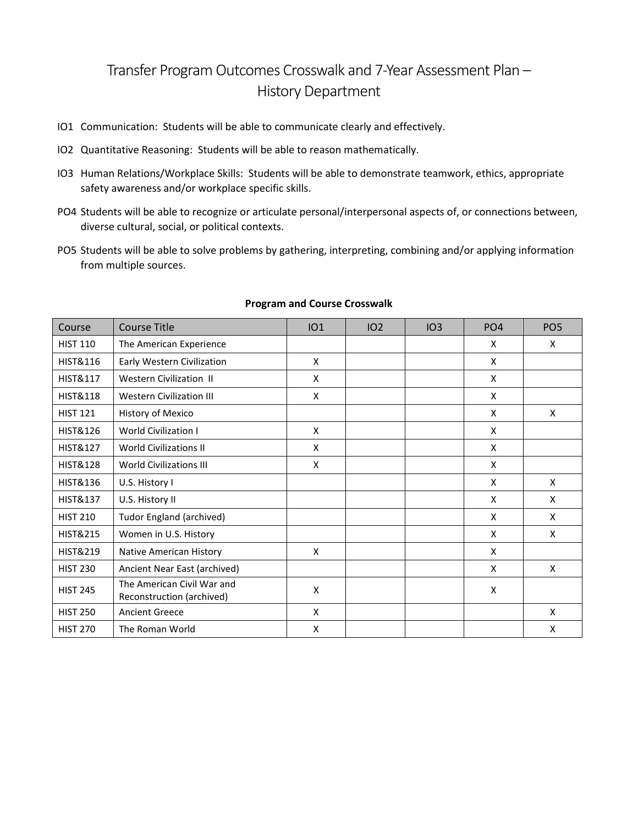## Transfer Program Outcomes Crosswalk and 7-Year Assessment Plan – History Department

- IO1 Communication: Students will be able to communicate clearly and effectively.
- IO2 Quantitative Reasoning: Students will be able to reason mathematically.
- IO3 Human Relations/Workplace Skills: Students will be able to demonstrate teamwork, ethics, appropriate safety awareness and/or workplace specific skills.
- PO4 Students will be able to recognize or articulate personal/interpersonal aspects of, or connections between, diverse cultural, social, or political contexts.
- PO5 Students will be able to solve problems by gathering, interpreting, combining and/or applying information from multiple sources.

| Course              | <b>Course Title</b>                                     | IO1 | IO2 | IO3 | PO <sub>4</sub> | PO <sub>5</sub> |
|---------------------|---------------------------------------------------------|-----|-----|-----|-----------------|-----------------|
| <b>HIST 110</b>     | The American Experience                                 |     |     |     | X               | X               |
| <b>HIST&amp;116</b> | Early Western Civilization                              | X   |     |     | X               |                 |
| <b>HIST&amp;117</b> | <b>Western Civilization II</b>                          | X   |     |     | X               |                 |
| <b>HIST&amp;118</b> | <b>Western Civilization III</b>                         | X   |     |     | X               |                 |
| <b>HIST 121</b>     | History of Mexico                                       |     |     |     | X               | X               |
| <b>HIST&amp;126</b> | <b>World Civilization I</b>                             | X   |     |     | X               |                 |
| <b>HIST&amp;127</b> | <b>World Civilizations II</b>                           | X   |     |     | X               |                 |
| <b>HIST&amp;128</b> | <b>World Civilizations III</b>                          | X   |     |     | X               |                 |
| <b>HIST&amp;136</b> | U.S. History I                                          |     |     |     | X               | X               |
| <b>HIST&amp;137</b> | U.S. History II                                         |     |     |     | X               | X               |
| <b>HIST 210</b>     | Tudor England (archived)                                |     |     |     | X               | X               |
| <b>HIST&amp;215</b> | Women in U.S. History                                   |     |     |     | X               | X               |
| <b>HIST&amp;219</b> | Native American History                                 | X   |     |     | X               |                 |
| <b>HIST 230</b>     | Ancient Near East (archived)                            |     |     |     | X               | X               |
| <b>HIST 245</b>     | The American Civil War and<br>Reconstruction (archived) | X   |     |     | X               |                 |
| <b>HIST 250</b>     | <b>Ancient Greece</b>                                   | X   |     |     |                 | X               |
| <b>HIST 270</b>     | The Roman World                                         | X   |     |     |                 | X               |

## **Program and Course Crosswalk**